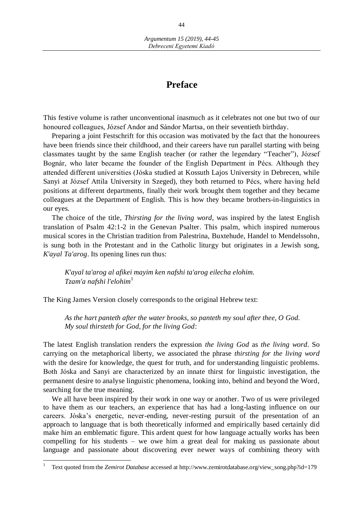## **Preface**

This festive volume is rather unconventional inasmuch as it celebrates not one but two of our honoured colleagues, József Andor and Sándor Martsa, on their seventieth birthday.

Preparing a joint Festschrift for this occasion was motivated by the fact that the honourees have been friends since their childhood, and their careers have run parallel starting with being classmates taught by the same English teacher (or rather the legendary "Teacher"), József Bognár, who later became the founder of the English Department in Pécs. Although they attended different universities (Jóska studied at Kossuth Lajos University in Debrecen, while Sanyi at József Attila University in Szeged), they both returned to Pécs, where having held positions at different departments, finally their work brought them together and they became colleagues at the Department of English. This is how they became brothers-in-linguistics in our eyes.

The choice of the title, *Thirsting for the living word*, was inspired by the latest English translation of Psalm 42:1-2 in the Genevan Psalter. This psalm, which inspired numerous musical scores in the Christian tradition from Palestrina, Buxtehude, Handel to Mendelssohn, is sung both in the Protestant and in the Catholic liturgy but originates in a Jewish song, *K'ayal Ta'arog*. Its opening lines run thus:

*K'ayal ta'arog al afikei mayim ken nafshi ta'arog eilecha elohim. Tzam'a nafshi l'elohim*<sup>1</sup>

The King James Version closely corresponds to the original Hebrew text:

*As the hart panteth after the water brooks, so panteth my soul after thee, O God. My soul thirsteth for God, for the living God*:

The latest English translation renders the expression *the living God* as *the living word*. So carrying on the metaphorical liberty, we associated the phrase *thirsting for the living word*  with the desire for knowledge, the quest for truth, and for understanding linguistic problems. Both Jóska and Sanyi are characterized by an innate thirst for linguistic investigation, the permanent desire to analyse linguistic phenomena, looking into, behind and beyond the Word, searching for the true meaning.

We all have been inspired by their work in one way or another. Two of us were privileged to have them as our teachers, an experience that has had a long-lasting influence on our careers. Jóska's energetic, never-ending, never-resting pursuit of the presentation of an approach to language that is both theoretically informed and empirically based certainly did make him an emblematic figure. This ardent quest for how language actually works has been compelling for his students – we owe him a great deal for making us passionate about language and passionate about discovering ever newer ways of combining theory with

 $\overline{a}$ 

<sup>1</sup> Text quoted from the *Zemirot Database* accessed at http://www.zemirotdatabase.org/view\_song.php?id=179